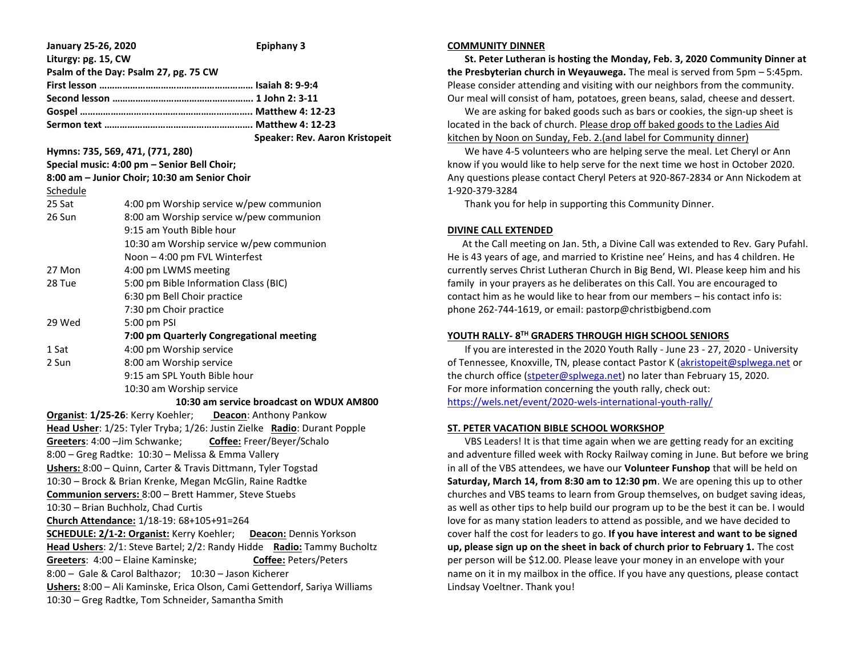| <b>January 25-26, 2020</b>                                                                                                                     |                                          | <b>Epiphany 3</b>              |
|------------------------------------------------------------------------------------------------------------------------------------------------|------------------------------------------|--------------------------------|
| Liturgy: pg. 15, CW<br>Psalm of the Day: Psalm 27, pg. 75 CW                                                                                   |                                          |                                |
|                                                                                                                                                |                                          |                                |
|                                                                                                                                                |                                          |                                |
|                                                                                                                                                |                                          |                                |
|                                                                                                                                                |                                          |                                |
|                                                                                                                                                |                                          | Speaker: Rev. Aaron Kristopeit |
| Hymns: 735, 569, 471, (771, 280)                                                                                                               |                                          |                                |
| Special music: 4:00 pm - Senior Bell Choir;                                                                                                    |                                          |                                |
| 8:00 am - Junior Choir; 10:30 am Senior Choir                                                                                                  |                                          |                                |
| Schedule                                                                                                                                       |                                          |                                |
| 25 Sat                                                                                                                                         | 4:00 pm Worship service w/pew communion  |                                |
| 26 Sun                                                                                                                                         | 8:00 am Worship service w/pew communion  |                                |
|                                                                                                                                                | 9:15 am Youth Bible hour                 |                                |
|                                                                                                                                                | 10:30 am Worship service w/pew communion |                                |
|                                                                                                                                                | Noon - 4:00 pm FVL Winterfest            |                                |
| 27 Mon                                                                                                                                         | 4:00 pm LWMS meeting                     |                                |
| 28 Tue                                                                                                                                         | 5:00 pm Bible Information Class (BIC)    |                                |
|                                                                                                                                                | 6:30 pm Bell Choir practice              |                                |
|                                                                                                                                                | 7:30 pm Choir practice                   |                                |
| 29 Wed                                                                                                                                         | 5:00 pm PSI                              |                                |
| 7:00 pm Quarterly Congregational meeting                                                                                                       |                                          |                                |
| 1 Sat                                                                                                                                          | 4:00 pm Worship service                  |                                |
| 2 Sun                                                                                                                                          | 8:00 am Worship service                  |                                |
|                                                                                                                                                | 9:15 am SPL Youth Bible hour             |                                |
| 10:30 am Worship service                                                                                                                       |                                          |                                |
| 10:30 am service broadcast on WDUX AM800                                                                                                       |                                          |                                |
| Organist: 1/25-26: Kerry Koehler; Deacon: Anthony Pankow                                                                                       |                                          |                                |
| Head Usher: 1/25: Tyler Tryba; 1/26: Justin Zielke Radio: Durant Popple                                                                        |                                          |                                |
| Greeters: 4:00 - Jim Schwanke; Coffee: Freer/Beyer/Schalo                                                                                      |                                          |                                |
| 8:00 - Greg Radtke: 10:30 - Melissa & Emma Vallery                                                                                             |                                          |                                |
| Ushers: 8:00 - Quinn, Carter & Travis Dittmann, Tyler Togstad                                                                                  |                                          |                                |
| 10:30 - Brock & Brian Krenke, Megan McGlin, Raine Radtke                                                                                       |                                          |                                |
| Communion servers: 8:00 - Brett Hammer, Steve Stuebs                                                                                           |                                          |                                |
| 10:30 - Brian Buchholz, Chad Curtis                                                                                                            |                                          |                                |
| Church Attendance: 1/18-19: 68+105+91=264                                                                                                      |                                          |                                |
| <b>SCHEDULE: 2/1-2: Organist: Kerry Koehler;</b><br><b>Deacon:</b> Dennis Yorkson                                                              |                                          |                                |
| Head Ushers: 2/1: Steve Bartel; 2/2: Randy Hidde<br>Radio: Tammy Bucholtz<br>Greeters: 4:00 - Elaine Kaminske;<br><b>Coffee: Peters/Peters</b> |                                          |                                |
| 8:00 - Gale & Carol Balthazor; 10:30 - Jason Kicherer                                                                                          |                                          |                                |
| Ushers: 8:00 - Ali Kaminske, Erica Olson, Cami Gettendorf, Sariya Williams                                                                     |                                          |                                |
| 10:30 - Greg Radtke, Tom Schneider, Samantha Smith                                                                                             |                                          |                                |

#### **COMMUNITY DINNER**

 **St. Peter Lutheran is hosting the Monday, Feb. 3, 2020 Community Dinner at the Presbyterian church in Weyauwega.** The meal is served from 5pm – 5:45pm. Please consider attending and visiting with our neighbors from the community. Our meal will consist of ham, potatoes, green beans, salad, cheese and dessert.

 We are asking for baked goods such as bars or cookies, the sign-up sheet is located in the back of church. Please drop off baked goods to the Ladies Aid kitchen by Noon on Sunday, Feb. 2.(and label for Community dinner)

 We have 4-5 volunteers who are helping serve the meal. Let Cheryl or Ann know if you would like to help serve for the next time we host in October 2020. Any questions please contact Cheryl Peters at 920-867-2834 or Ann Nickodem at 1-920-379-3284

Thank you for help in supporting this Community Dinner.

### **DIVINE CALL EXTENDED**

 At the Call meeting on Jan. 5th, a Divine Call was extended to Rev. Gary Pufahl. He is 43 years of age, and married to Kristine nee' Heins, and has 4 children. He currently serves Christ Lutheran Church in Big Bend, WI. Please keep him and his family in your prayers as he deliberates on this Call. You are encouraged to contact him as he would like to hear from our members – his contact info is: phone 262-744-1619, or email: pastorp@christbigbend.com

## **YOUTH RALLY- 8 TH GRADERS THROUGH HIGH SCHOOL SENIORS**

 If you are interested in the 2020 Youth Rally - June 23 - 27, 2020 - University of Tennessee, Knoxville, TN, please contact Pastor K [\(akristopeit@splwega.net](mailto:akristopeit@splwega.net) or the church office [\(stpeter@splwega.net\)](mailto:stpeter@splwega.net) no later than February 15, 2020. For more information concerning the youth rally, check out: [https://wels.net/event/2020-wels-international-youth-rally/](https://linkprotect.cudasvc.com/url?a=https%3a%2f%2fwels.net%2fevent%2f2020-wels-international-youth-rally%2f&c=E,1,lNRUNoWdLc8CEU1jUlRIG_FoezLoXzVGad5eWmo1lybuzP_6cs-H3i5BmvNlmdZBfHcL-4wdrIs24BU9wM1hI-2YqAKHaNpkvLIa0u3j&typo=1)

### **ST. PETER VACATION BIBLE SCHOOL WORKSHOP**

 VBS Leaders! It is that time again when we are getting ready for an exciting and adventure filled week with Rocky Railway coming in June. But before we bring in all of the VBS attendees, we have our **Volunteer Funshop** that will be held on **Saturday, March 14, from 8:30 am to 12:30 pm**. We are opening this up to other churches and VBS teams to learn from Group themselves, on budget saving ideas, as well as other tips to help build our program up to be the best it can be. I would love for as many station leaders to attend as possible, and we have decided to cover half the cost for leaders to go. **If you have interest and want to be signed up, please sign up on the sheet in back of church prior to February 1.** The cost per person will be \$12.00. Please leave your money in an envelope with your name on it in my mailbox in the office. If you have any questions, please contact Lindsay Voeltner. Thank you!